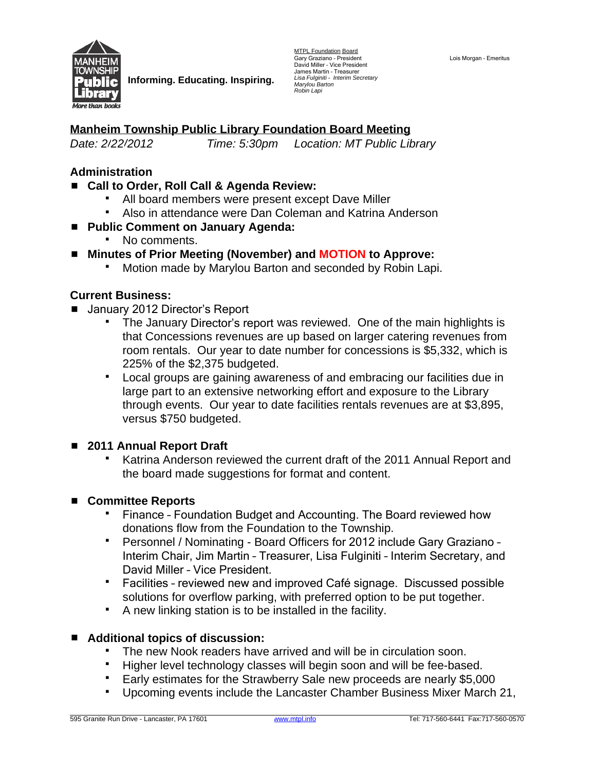

**Informing. Educating. Inspiring.**

MTPL Foundation Board Gary Graziano - President<br>David Miller - Vice President David Miller - Vice President<br>James Martin - Treasurer<br>*Lisa Fulginiti - Interim Secretary*<br>*Marylou Barton Robin Lapi*

## **Manheim Township Public Library Foundation Board Meeting**

*Date: 2/22/2012 Time: 5:30pm Location: MT Public Library*

### **Administration**

- Call to Order, Roll Call & Agenda Review:
	- All board members were present except Dave Miller
	- Also in attendance were Dan Coleman and Katrina Anderson
- **Public Comment on January Agenda:**
	- No comments.
- Minutes of Prior Meeting (November) and MOTION to Approve:
	- Motion made by Marylou Barton and seconded by Robin Lapi.

### **Current Business:**

- January 2012 Director's Report
	- The January Director's report was reviewed. One of the main highlights is that Concessions revenues are up based on larger catering revenues from room rentals. Our year to date number for concessions is \$5,332, which is 225% of the \$2,375 budgeted.
	- Local groups are gaining awareness of and embracing our facilities due in large part to an extensive networking effort and exposure to the Library through events. Our year to date facilities rentals revenues are at \$3,895, versus \$750 budgeted.

#### **2011 Annual Report Draft**

 Katrina Anderson reviewed the current draft of the 2011 Annual Report and the board made suggestions for format and content.

#### ■ Committee Reports

- Finance Foundation Budget and Accounting. The Board reviewed how donations flow from the Foundation to the Township.
- Personnel / Nominating Board Officers for 2012 include Gary Graziano Interim Chair, Jim Martin – Treasurer, Lisa Fulginiti – Interim Secretary, and David Miller – Vice President.
- Facilities reviewed new and improved Café signage. Discussed possible solutions for overflow parking, with preferred option to be put together.
- A new linking station is to be installed in the facility.

## ■ Additional topics of discussion:

- The new Nook readers have arrived and will be in circulation soon.
- " Higher level technology classes will begin soon and will be fee-based.
- Early estimates for the Strawberry Sale new proceeds are nearly \$5,000
- Upcoming events include the Lancaster Chamber Business Mixer March 21,